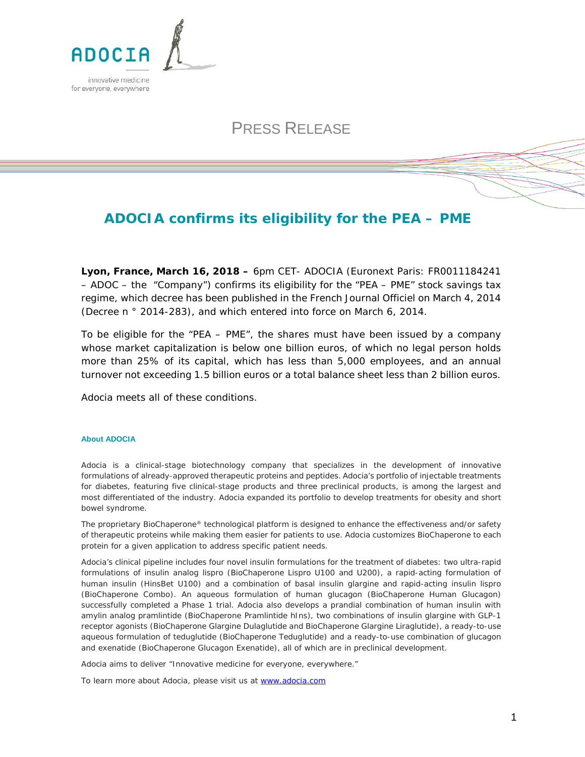

## PRESS RELEASE

## **ADOCIA confirms its eligibility for the PEA – PME**

**Lyon, France, March 16, 2018 –** 6pm CET- ADOCIA (Euronext Paris: FR0011184241 – ADOC – the "Company") confirms its eligibility for the "*PEA – PME*" stock savings tax regime, which decree has been published in the French *Journal Officiel* on March 4, 2014 (Decree n ° 2014-283), and which entered into force on March 6, 2014.

To be eligible for the "*PEA – PME*", the shares must have been issued by a company whose market capitalization is below one billion euros, of which no legal person holds more than 25% of its capital, which has less than 5,000 employees, and an annual turnover not exceeding 1.5 billion euros or a total balance sheet less than 2 billion euros.

Adocia meets all of these conditions.

## **About ADOCIA**

Adocia is a clinical-stage biotechnology company that specializes in the development of innovative formulations of already-approved therapeutic proteins and peptides. Adocia's portfolio of injectable treatments for diabetes, featuring five clinical-stage products and three preclinical products, is among the largest and most differentiated of the industry. Adocia expanded its portfolio to develop treatments for obesity and short bowel syndrome.

The proprietary BioChaperone® technological platform is designed to enhance the effectiveness and/or safety of therapeutic proteins while making them easier for patients to use. Adocia customizes BioChaperone to each protein for a given application to address specific patient needs.

Adocia's clinical pipeline includes four novel insulin formulations for the treatment of diabetes: two ultra-rapid formulations of insulin analog lispro (BioChaperone Lispro U100 and U200), a rapid-acting formulation of human insulin (HinsBet U100) and a combination of basal insulin glargine and rapid-acting insulin lispro (BioChaperone Combo). An aqueous formulation of human glucagon (BioChaperone Human Glucagon) successfully completed a Phase 1 trial. Adocia also develops a prandial combination of human insulin with amylin analog pramlintide (BioChaperone Pramlintide hIns), two combinations of insulin glargine with GLP-1 receptor agonists (BioChaperone Glargine Dulaglutide and BioChaperone Glargine Liraglutide), a ready-to-use aqueous formulation of teduglutide (BioChaperone Teduglutide) and a ready-to-use combination of glucagon and exenatide (BioChaperone Glucagon Exenatide), all of which are in preclinical development.

*Adocia aims to deliver "Innovative medicine for everyone, everywhere."*

To learn more about Adocia, please visit us at [www.adocia.com](http://www.adocia.com/)